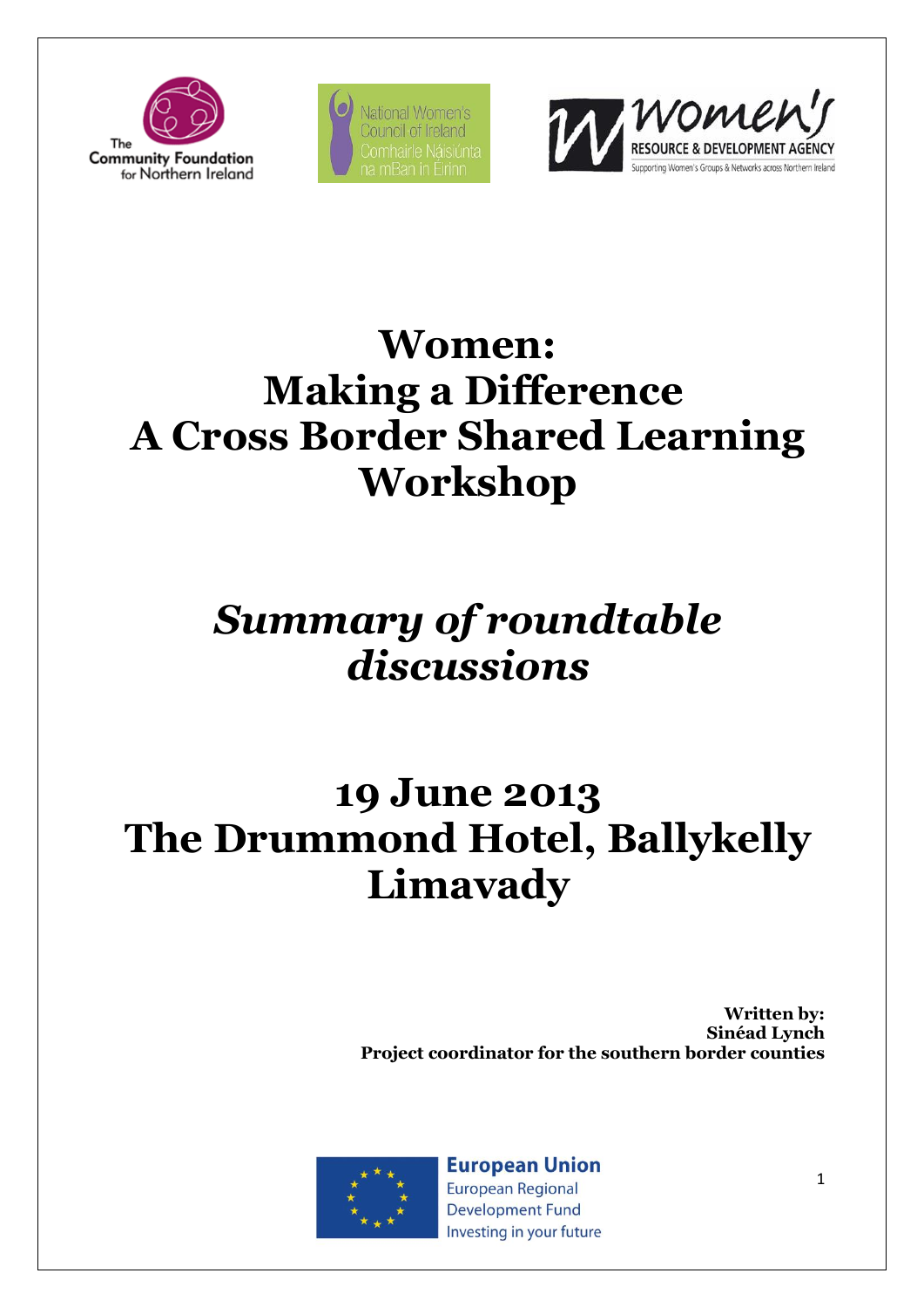

National Women's Council of Ireland



# **Women: Making a Difference A Cross Border Shared Learning Workshop**

# *Summary of roundtable discussions*

# **19 June 2013 The Drummond Hotel, Ballykelly Limavady**

**Written by: Sinéad Lynch Project coordinator for the southern border counties**



**European Union European Regional** 

**Development Fund** Investing in your future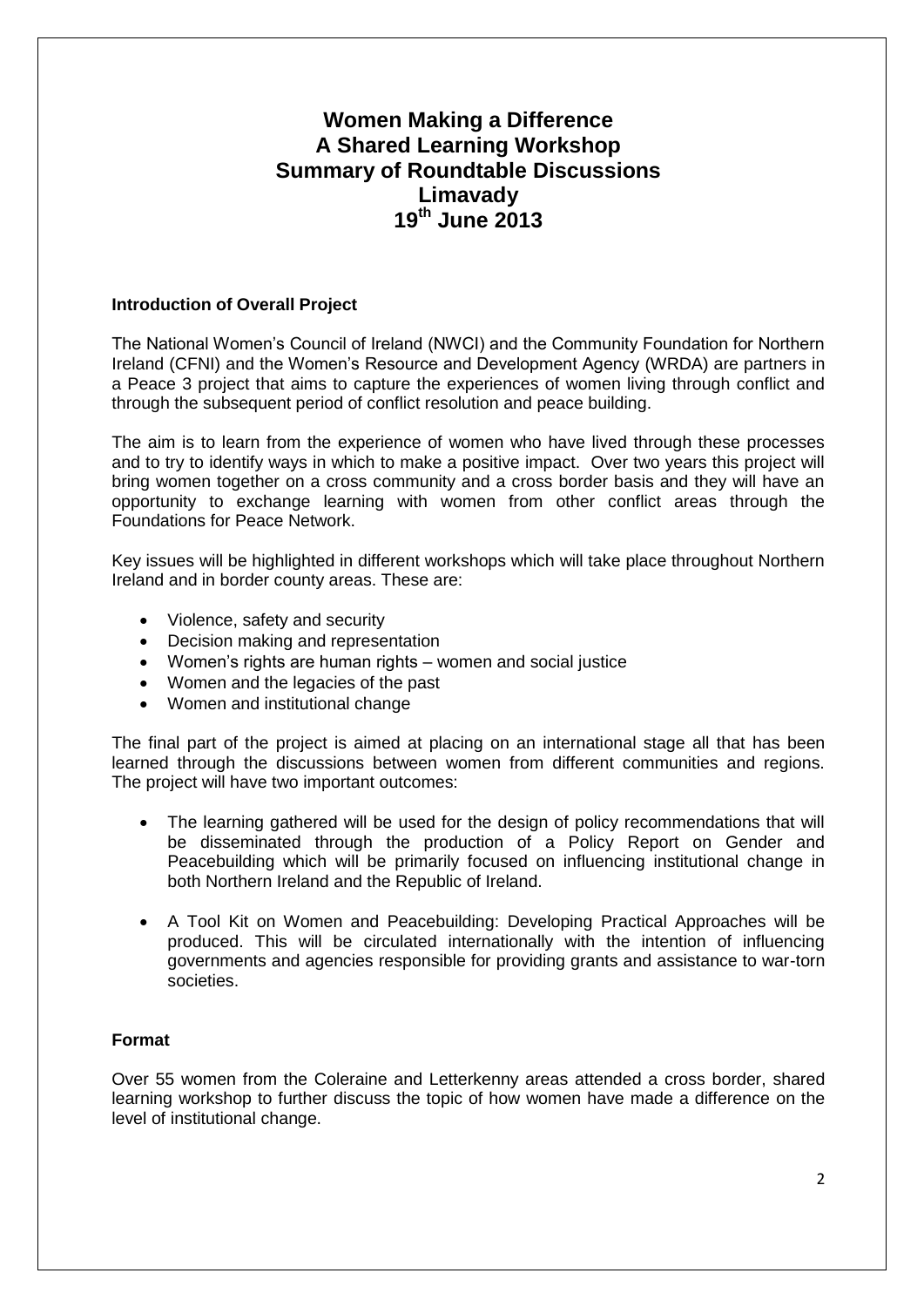# **Women Making a Difference A Shared Learning Workshop Summary of Roundtable Discussions Limavady 19th June 2013**

## **Introduction of Overall Project**

The National Women's Council of Ireland (NWCI) and the Community Foundation for Northern Ireland (CFNI) and the Women's Resource and Development Agency (WRDA) are partners in a Peace 3 project that aims to capture the experiences of women living through conflict and through the subsequent period of conflict resolution and peace building.

The aim is to learn from the experience of women who have lived through these processes and to try to identify ways in which to make a positive impact. Over two years this project will bring women together on a cross community and a cross border basis and they will have an opportunity to exchange learning with women from other conflict areas through the Foundations for Peace Network.

Key issues will be highlighted in different workshops which will take place throughout Northern Ireland and in border county areas. These are:

- Violence, safety and security
- Decision making and representation
- Women's rights are human rights women and social justice
- Women and the legacies of the past
- Women and institutional change

The final part of the project is aimed at placing on an international stage all that has been learned through the discussions between women from different communities and regions. The project will have two important outcomes:

- The learning gathered will be used for the design of policy recommendations that will be disseminated through the production of a Policy Report on Gender and Peacebuilding which will be primarily focused on influencing institutional change in both Northern Ireland and the Republic of Ireland.
- A Tool Kit on Women and Peacebuilding: Developing Practical Approaches will be produced. This will be circulated internationally with the intention of influencing governments and agencies responsible for providing grants and assistance to war-torn societies.

#### **Format**

Over 55 women from the Coleraine and Letterkenny areas attended a cross border, shared learning workshop to further discuss the topic of how women have made a difference on the level of institutional change.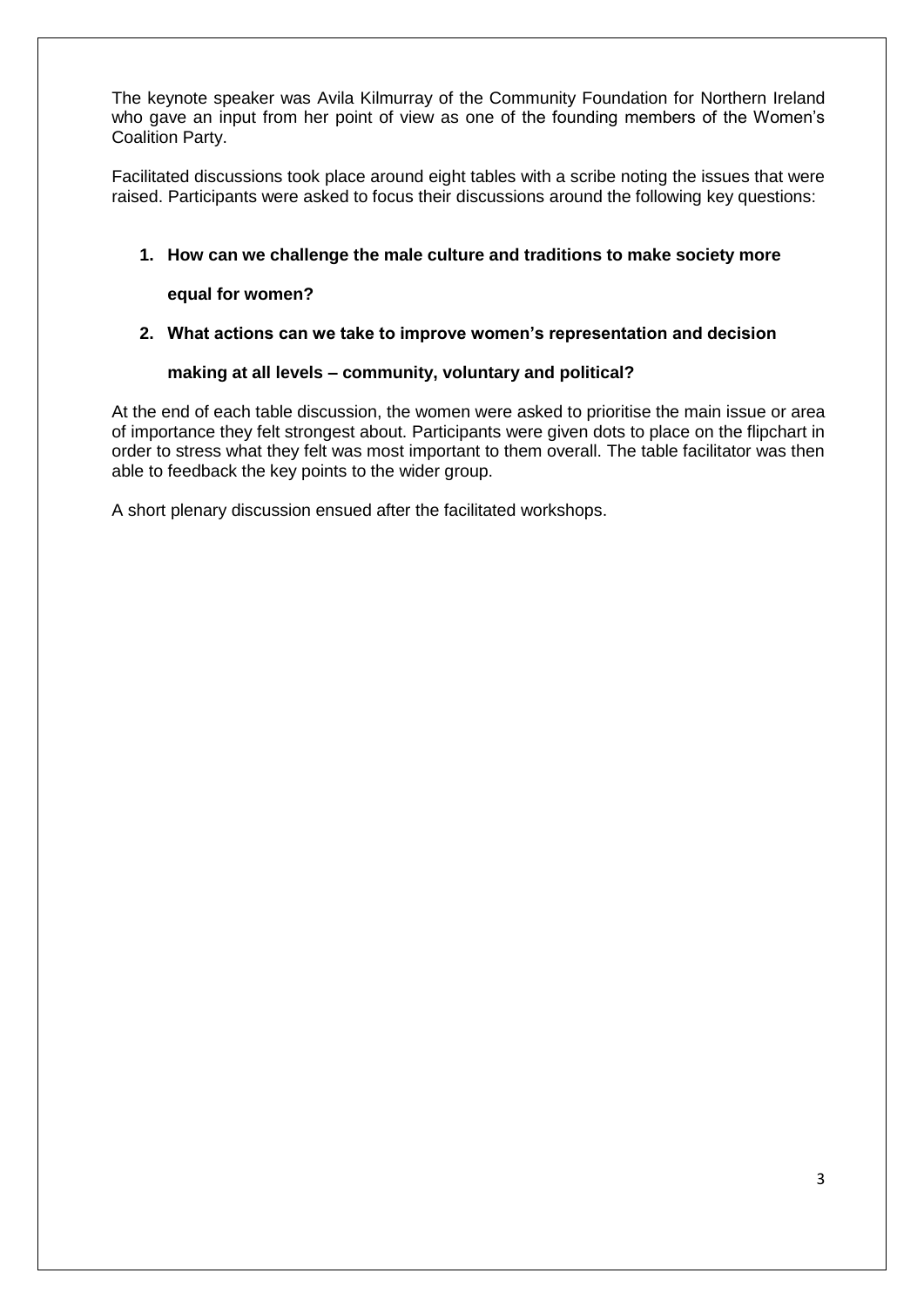The keynote speaker was Avila Kilmurray of the Community Foundation for Northern Ireland who gave an input from her point of view as one of the founding members of the Women's Coalition Party.

Facilitated discussions took place around eight tables with a scribe noting the issues that were raised. Participants were asked to focus their discussions around the following key questions:

# **1. How can we challenge the male culture and traditions to make society more**

# **equal for women?**

# **2. What actions can we take to improve women's representation and decision**

# **making at all levels – community, voluntary and political?**

At the end of each table discussion, the women were asked to prioritise the main issue or area of importance they felt strongest about. Participants were given dots to place on the flipchart in order to stress what they felt was most important to them overall. The table facilitator was then able to feedback the key points to the wider group.

A short plenary discussion ensued after the facilitated workshops.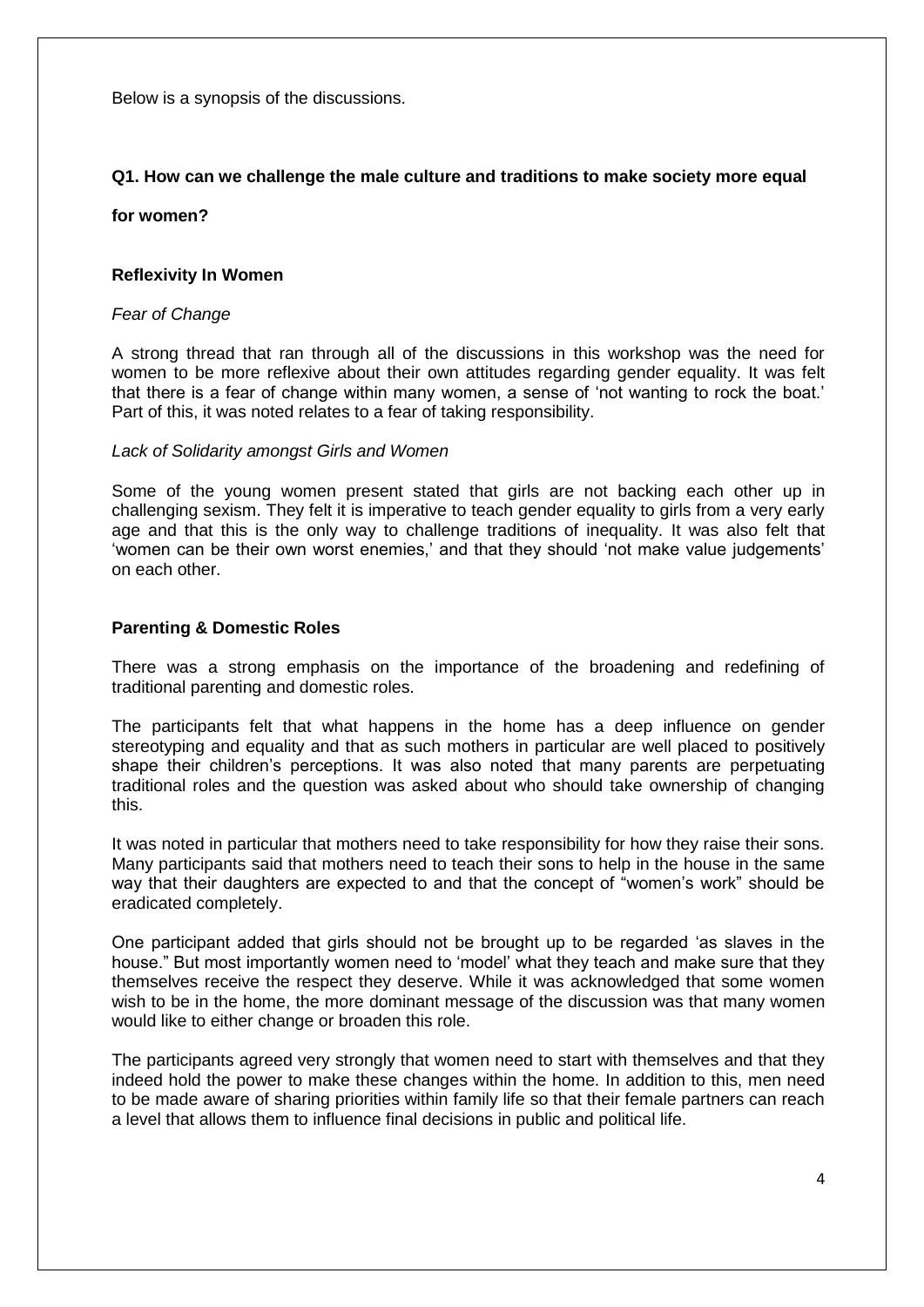Below is a synopsis of the discussions.

## **Q1. How can we challenge the male culture and traditions to make society more equal**

**for women?**

#### **Reflexivity In Women**

#### *Fear of Change*

A strong thread that ran through all of the discussions in this workshop was the need for women to be more reflexive about their own attitudes regarding gender equality. It was felt that there is a fear of change within many women, a sense of 'not wanting to rock the boat.' Part of this, it was noted relates to a fear of taking responsibility.

#### *Lack of Solidarity amongst Girls and Women*

Some of the young women present stated that girls are not backing each other up in challenging sexism. They felt it is imperative to teach gender equality to girls from a very early age and that this is the only way to challenge traditions of inequality. It was also felt that 'women can be their own worst enemies,' and that they should 'not make value judgements' on each other.

#### **Parenting & Domestic Roles**

There was a strong emphasis on the importance of the broadening and redefining of traditional parenting and domestic roles.

The participants felt that what happens in the home has a deep influence on gender stereotyping and equality and that as such mothers in particular are well placed to positively shape their children's perceptions. It was also noted that many parents are perpetuating traditional roles and the question was asked about who should take ownership of changing this.

It was noted in particular that mothers need to take responsibility for how they raise their sons. Many participants said that mothers need to teach their sons to help in the house in the same way that their daughters are expected to and that the concept of "women's work" should be eradicated completely.

One participant added that girls should not be brought up to be regarded 'as slaves in the house." But most importantly women need to 'model' what they teach and make sure that they themselves receive the respect they deserve. While it was acknowledged that some women wish to be in the home, the more dominant message of the discussion was that many women would like to either change or broaden this role.

The participants agreed very strongly that women need to start with themselves and that they indeed hold the power to make these changes within the home. In addition to this, men need to be made aware of sharing priorities within family life so that their female partners can reach a level that allows them to influence final decisions in public and political life.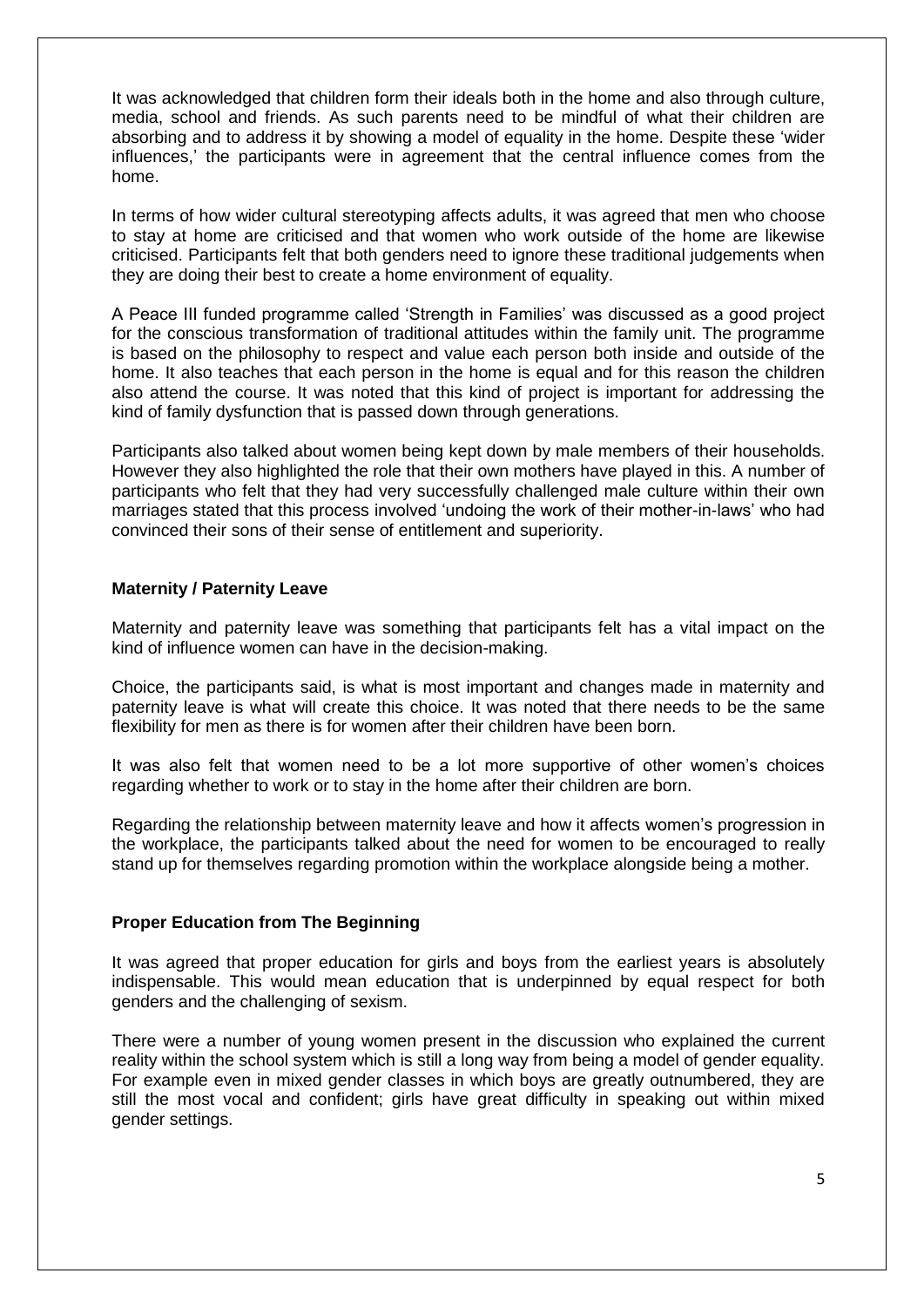It was acknowledged that children form their ideals both in the home and also through culture, media, school and friends. As such parents need to be mindful of what their children are absorbing and to address it by showing a model of equality in the home. Despite these 'wider influences,' the participants were in agreement that the central influence comes from the home.

In terms of how wider cultural stereotyping affects adults, it was agreed that men who choose to stay at home are criticised and that women who work outside of the home are likewise criticised. Participants felt that both genders need to ignore these traditional judgements when they are doing their best to create a home environment of equality.

A Peace III funded programme called 'Strength in Families' was discussed as a good project for the conscious transformation of traditional attitudes within the family unit. The programme is based on the philosophy to respect and value each person both inside and outside of the home. It also teaches that each person in the home is equal and for this reason the children also attend the course. It was noted that this kind of project is important for addressing the kind of family dysfunction that is passed down through generations.

Participants also talked about women being kept down by male members of their households. However they also highlighted the role that their own mothers have played in this. A number of participants who felt that they had very successfully challenged male culture within their own marriages stated that this process involved 'undoing the work of their mother-in-laws' who had convinced their sons of their sense of entitlement and superiority.

#### **Maternity / Paternity Leave**

Maternity and paternity leave was something that participants felt has a vital impact on the kind of influence women can have in the decision-making.

Choice, the participants said, is what is most important and changes made in maternity and paternity leave is what will create this choice. It was noted that there needs to be the same flexibility for men as there is for women after their children have been born.

It was also felt that women need to be a lot more supportive of other women's choices regarding whether to work or to stay in the home after their children are born.

Regarding the relationship between maternity leave and how it affects women's progression in the workplace, the participants talked about the need for women to be encouraged to really stand up for themselves regarding promotion within the workplace alongside being a mother.

#### **Proper Education from The Beginning**

It was agreed that proper education for girls and boys from the earliest years is absolutely indispensable. This would mean education that is underpinned by equal respect for both genders and the challenging of sexism.

There were a number of young women present in the discussion who explained the current reality within the school system which is still a long way from being a model of gender equality. For example even in mixed gender classes in which boys are greatly outnumbered, they are still the most vocal and confident; girls have great difficulty in speaking out within mixed gender settings.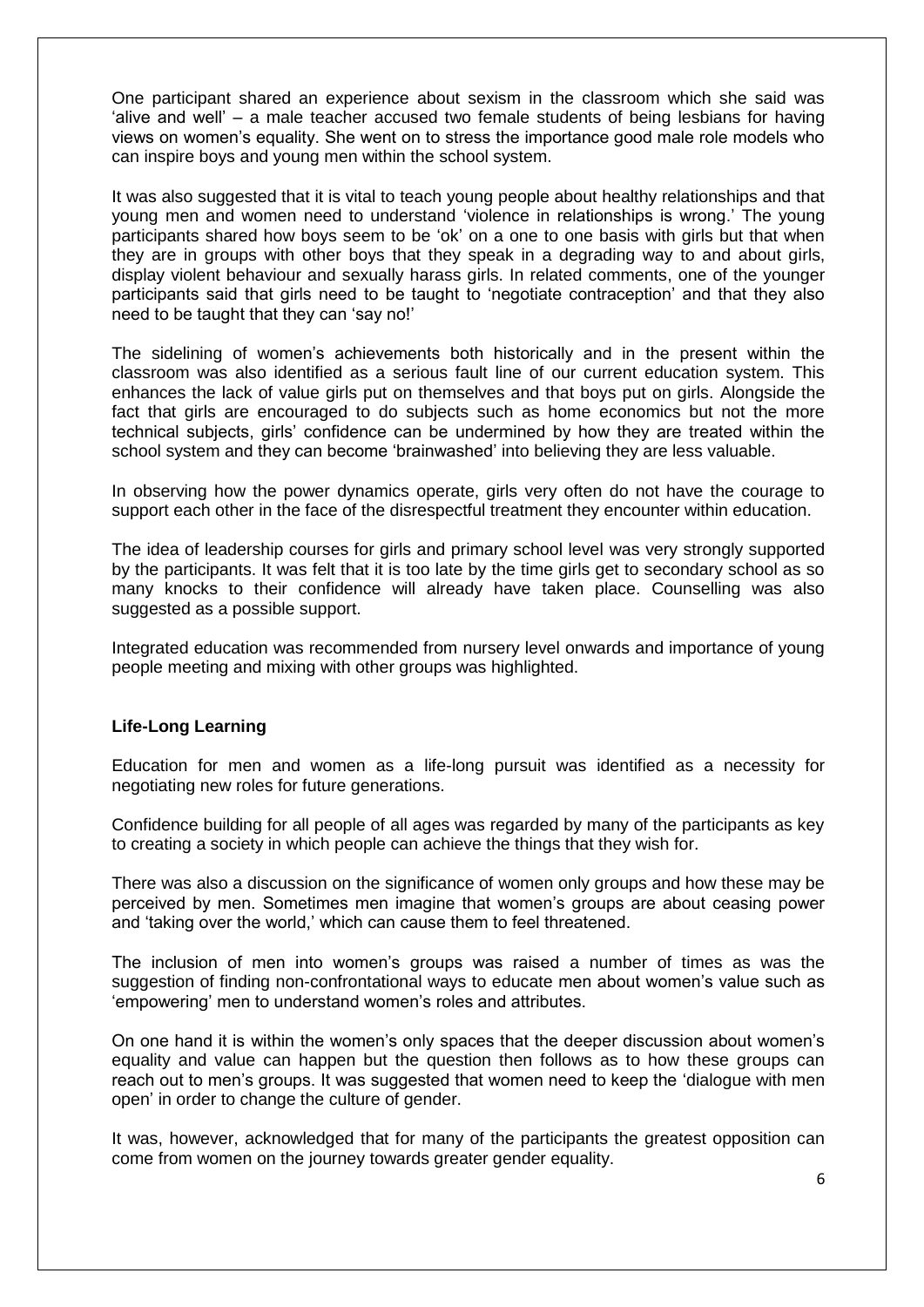One participant shared an experience about sexism in the classroom which she said was 'alive and well' – a male teacher accused two female students of being lesbians for having views on women's equality. She went on to stress the importance good male role models who can inspire boys and young men within the school system.

It was also suggested that it is vital to teach young people about healthy relationships and that young men and women need to understand 'violence in relationships is wrong.' The young participants shared how boys seem to be 'ok' on a one to one basis with girls but that when they are in groups with other boys that they speak in a degrading way to and about girls, display violent behaviour and sexually harass girls. In related comments, one of the younger participants said that girls need to be taught to 'negotiate contraception' and that they also need to be taught that they can 'say no!'

The sidelining of women's achievements both historically and in the present within the classroom was also identified as a serious fault line of our current education system. This enhances the lack of value girls put on themselves and that boys put on girls. Alongside the fact that girls are encouraged to do subjects such as home economics but not the more technical subjects, girls' confidence can be undermined by how they are treated within the school system and they can become 'brainwashed' into believing they are less valuable.

In observing how the power dynamics operate, girls very often do not have the courage to support each other in the face of the disrespectful treatment they encounter within education.

The idea of leadership courses for girls and primary school level was very strongly supported by the participants. It was felt that it is too late by the time girls get to secondary school as so many knocks to their confidence will already have taken place. Counselling was also suggested as a possible support.

Integrated education was recommended from nursery level onwards and importance of young people meeting and mixing with other groups was highlighted.

#### **Life-Long Learning**

Education for men and women as a life-long pursuit was identified as a necessity for negotiating new roles for future generations.

Confidence building for all people of all ages was regarded by many of the participants as key to creating a society in which people can achieve the things that they wish for.

There was also a discussion on the significance of women only groups and how these may be perceived by men. Sometimes men imagine that women's groups are about ceasing power and 'taking over the world,' which can cause them to feel threatened.

The inclusion of men into women's groups was raised a number of times as was the suggestion of finding non-confrontational ways to educate men about women's value such as 'empowering' men to understand women's roles and attributes.

On one hand it is within the women's only spaces that the deeper discussion about women's equality and value can happen but the question then follows as to how these groups can reach out to men's groups. It was suggested that women need to keep the 'dialogue with men open' in order to change the culture of gender.

It was, however, acknowledged that for many of the participants the greatest opposition can come from women on the journey towards greater gender equality.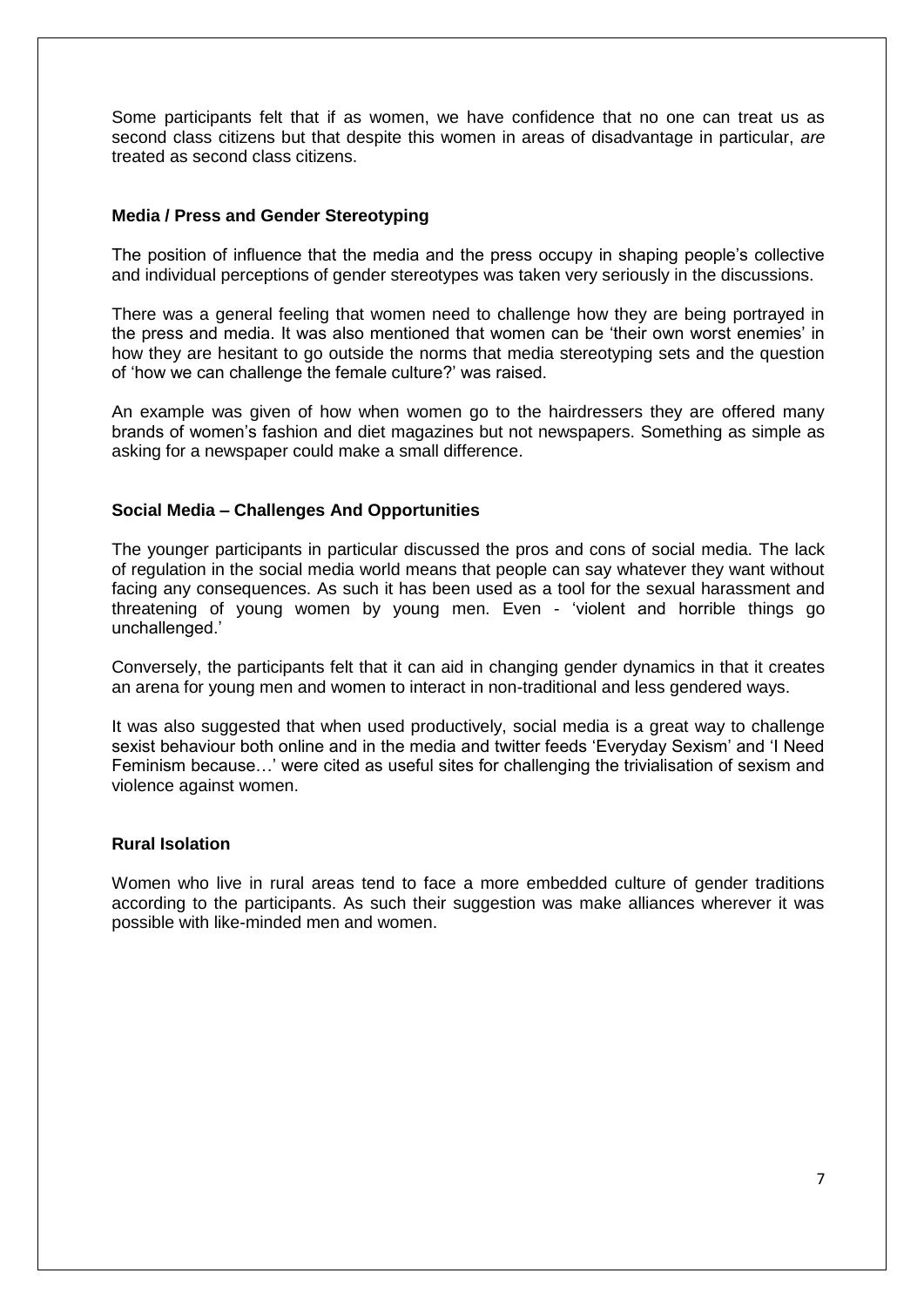Some participants felt that if as women, we have confidence that no one can treat us as second class citizens but that despite this women in areas of disadvantage in particular, *are* treated as second class citizens.

## **Media / Press and Gender Stereotyping**

The position of influence that the media and the press occupy in shaping people's collective and individual perceptions of gender stereotypes was taken very seriously in the discussions.

There was a general feeling that women need to challenge how they are being portrayed in the press and media. It was also mentioned that women can be 'their own worst enemies' in how they are hesitant to go outside the norms that media stereotyping sets and the question of 'how we can challenge the female culture?' was raised.

An example was given of how when women go to the hairdressers they are offered many brands of women's fashion and diet magazines but not newspapers. Something as simple as asking for a newspaper could make a small difference.

#### **Social Media – Challenges And Opportunities**

The younger participants in particular discussed the pros and cons of social media. The lack of regulation in the social media world means that people can say whatever they want without facing any consequences. As such it has been used as a tool for the sexual harassment and threatening of young women by young men. Even - 'violent and horrible things go unchallenged.'

Conversely, the participants felt that it can aid in changing gender dynamics in that it creates an arena for young men and women to interact in non-traditional and less gendered ways.

It was also suggested that when used productively, social media is a great way to challenge sexist behaviour both online and in the media and twitter feeds 'Everyday Sexism' and 'I Need Feminism because…' were cited as useful sites for challenging the trivialisation of sexism and violence against women.

### **Rural Isolation**

Women who live in rural areas tend to face a more embedded culture of gender traditions according to the participants. As such their suggestion was make alliances wherever it was possible with like-minded men and women.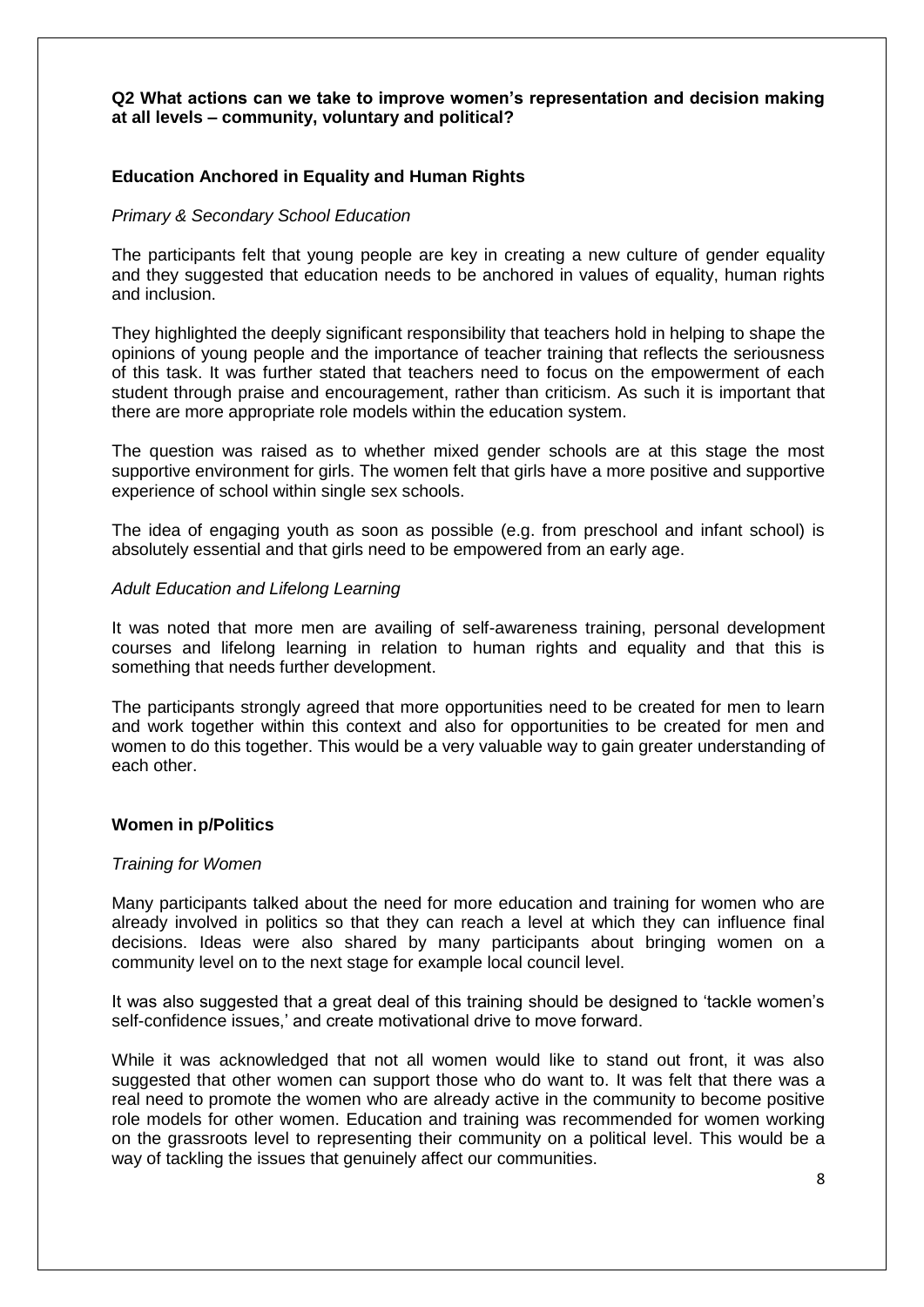#### **Q2 What actions can we take to improve women's representation and decision making at all levels – community, voluntary and political?**

# **Education Anchored in Equality and Human Rights**

#### *Primary & Secondary School Education*

The participants felt that young people are key in creating a new culture of gender equality and they suggested that education needs to be anchored in values of equality, human rights and inclusion.

They highlighted the deeply significant responsibility that teachers hold in helping to shape the opinions of young people and the importance of teacher training that reflects the seriousness of this task. It was further stated that teachers need to focus on the empowerment of each student through praise and encouragement, rather than criticism. As such it is important that there are more appropriate role models within the education system.

The question was raised as to whether mixed gender schools are at this stage the most supportive environment for girls. The women felt that girls have a more positive and supportive experience of school within single sex schools.

The idea of engaging youth as soon as possible (e.g. from preschool and infant school) is absolutely essential and that girls need to be empowered from an early age.

#### *Adult Education and Lifelong Learning*

It was noted that more men are availing of self-awareness training, personal development courses and lifelong learning in relation to human rights and equality and that this is something that needs further development.

The participants strongly agreed that more opportunities need to be created for men to learn and work together within this context and also for opportunities to be created for men and women to do this together. This would be a very valuable way to gain greater understanding of each other.

#### **Women in p/Politics**

#### *Training for Women*

Many participants talked about the need for more education and training for women who are already involved in politics so that they can reach a level at which they can influence final decisions. Ideas were also shared by many participants about bringing women on a community level on to the next stage for example local council level.

It was also suggested that a great deal of this training should be designed to 'tackle women's self-confidence issues,' and create motivational drive to move forward.

While it was acknowledged that not all women would like to stand out front, it was also suggested that other women can support those who do want to. It was felt that there was a real need to promote the women who are already active in the community to become positive role models for other women. Education and training was recommended for women working on the grassroots level to representing their community on a political level. This would be a way of tackling the issues that genuinely affect our communities.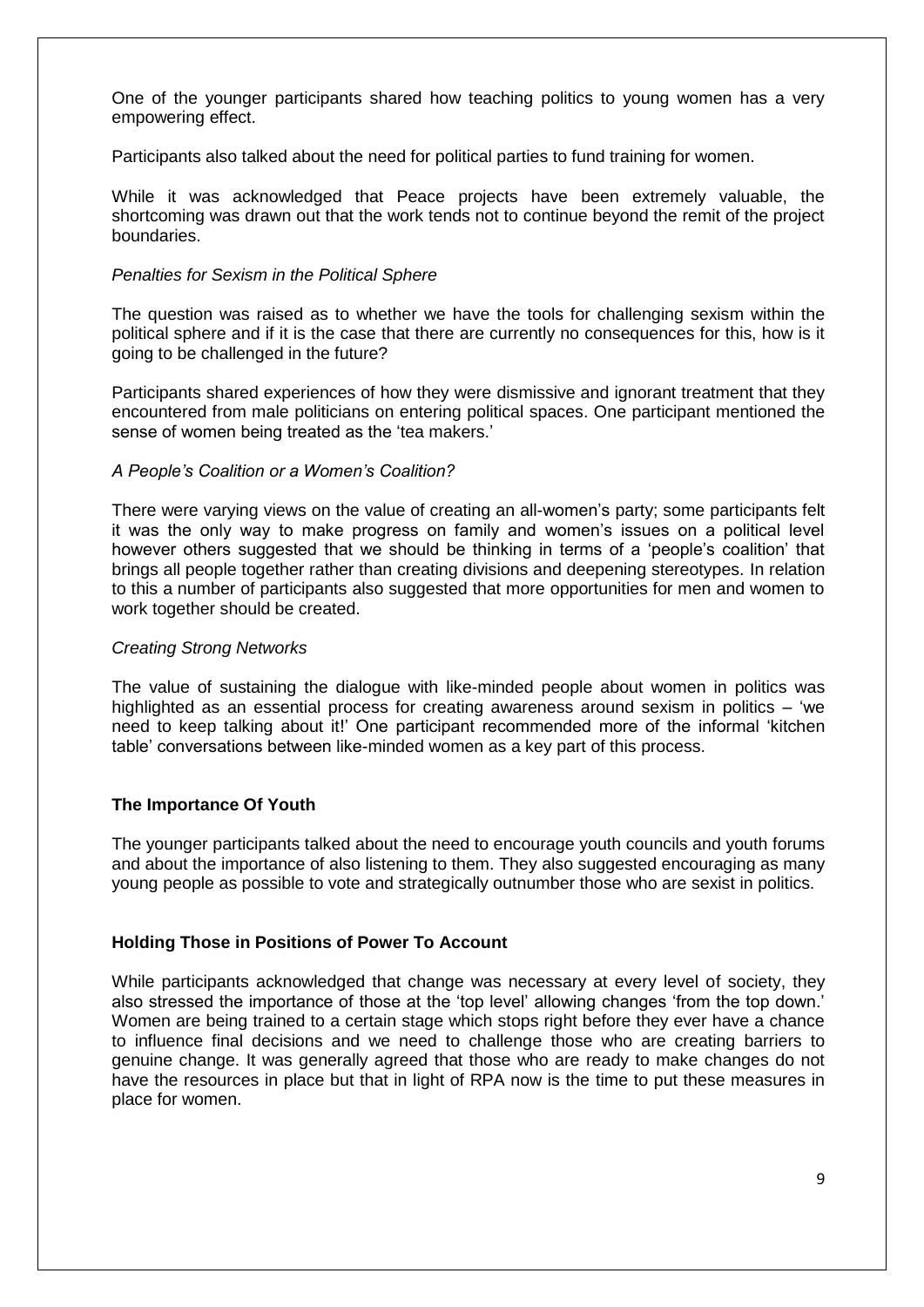One of the younger participants shared how teaching politics to young women has a very empowering effect.

Participants also talked about the need for political parties to fund training for women.

While it was acknowledged that Peace projects have been extremely valuable, the shortcoming was drawn out that the work tends not to continue beyond the remit of the project boundaries.

#### *Penalties for Sexism in the Political Sphere*

The question was raised as to whether we have the tools for challenging sexism within the political sphere and if it is the case that there are currently no consequences for this, how is it going to be challenged in the future?

Participants shared experiences of how they were dismissive and ignorant treatment that they encountered from male politicians on entering political spaces. One participant mentioned the sense of women being treated as the 'tea makers.'

#### *A People's Coalition or a Women's Coalition?*

There were varying views on the value of creating an all-women's party; some participants felt it was the only way to make progress on family and women's issues on a political level however others suggested that we should be thinking in terms of a 'people's coalition' that brings all people together rather than creating divisions and deepening stereotypes. In relation to this a number of participants also suggested that more opportunities for men and women to work together should be created.

#### *Creating Strong Networks*

The value of sustaining the dialogue with like-minded people about women in politics was highlighted as an essential process for creating awareness around sexism in politics – 'we need to keep talking about it!' One participant recommended more of the informal 'kitchen table' conversations between like-minded women as a key part of this process.

# **The Importance Of Youth**

The younger participants talked about the need to encourage youth councils and youth forums and about the importance of also listening to them. They also suggested encouraging as many young people as possible to vote and strategically outnumber those who are sexist in politics.

# **Holding Those in Positions of Power To Account**

While participants acknowledged that change was necessary at every level of society, they also stressed the importance of those at the 'top level' allowing changes 'from the top down.' Women are being trained to a certain stage which stops right before they ever have a chance to influence final decisions and we need to challenge those who are creating barriers to genuine change. It was generally agreed that those who are ready to make changes do not have the resources in place but that in light of RPA now is the time to put these measures in place for women.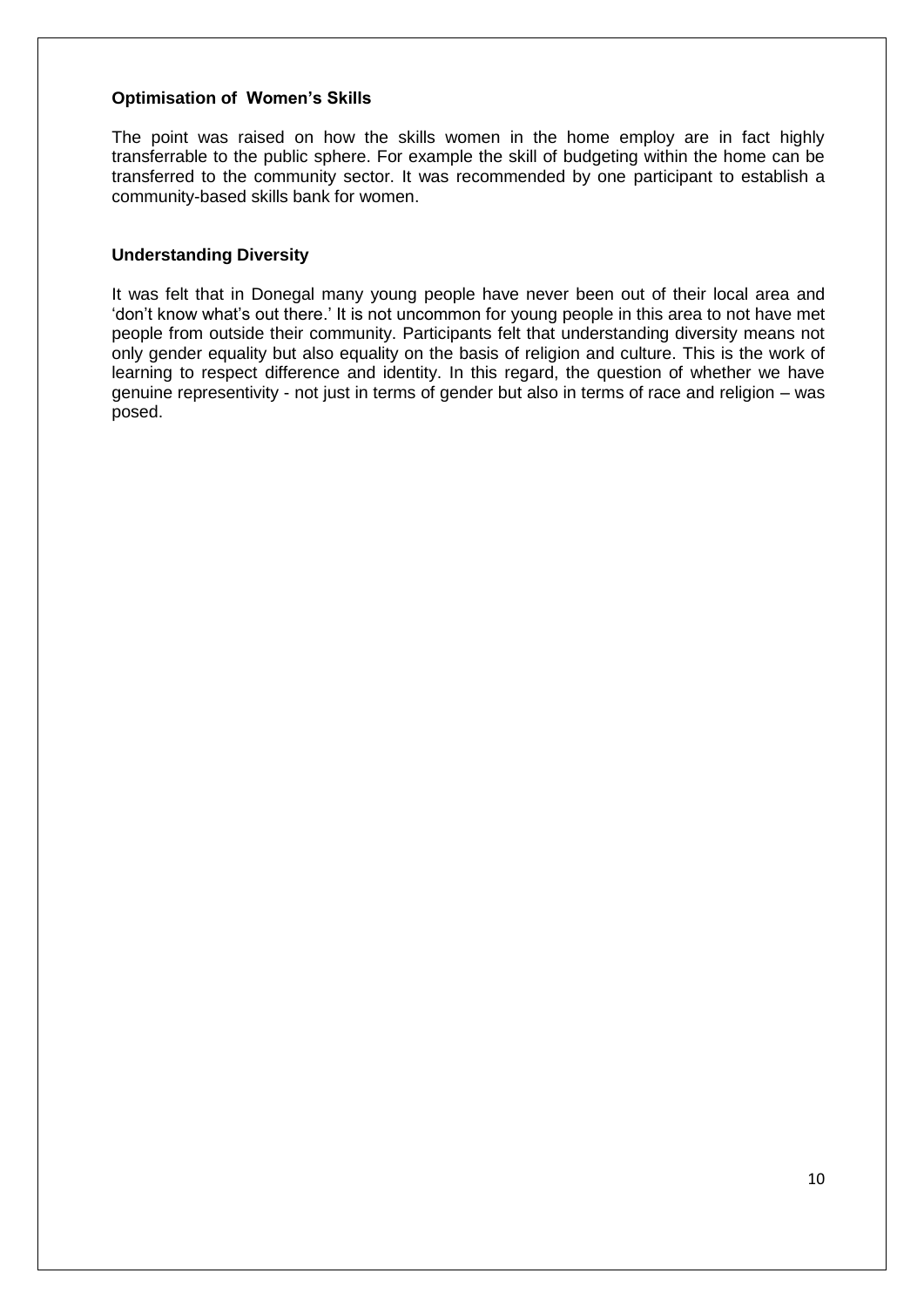### **Optimisation of Women's Skills**

The point was raised on how the skills women in the home employ are in fact highly transferrable to the public sphere. For example the skill of budgeting within the home can be transferred to the community sector. It was recommended by one participant to establish a community-based skills bank for women.

### **Understanding Diversity**

It was felt that in Donegal many young people have never been out of their local area and 'don't know what's out there.' It is not uncommon for young people in this area to not have met people from outside their community. Participants felt that understanding diversity means not only gender equality but also equality on the basis of religion and culture. This is the work of learning to respect difference and identity. In this regard, the question of whether we have genuine representivity - not just in terms of gender but also in terms of race and religion – was posed.